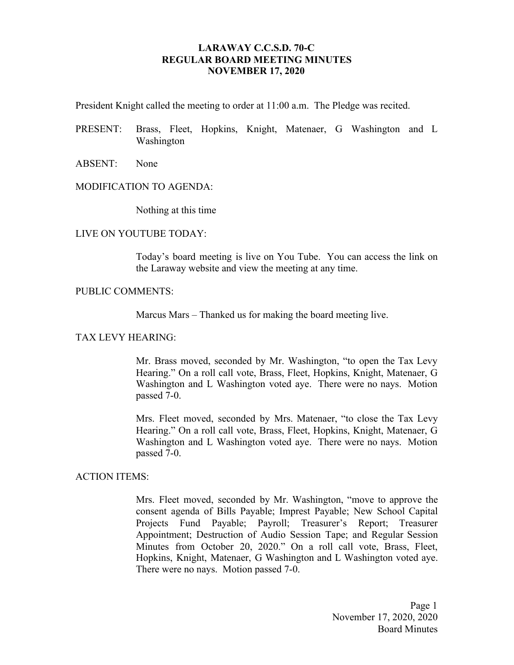## **LARAWAY C.C.S.D. 70-C REGULAR BOARD MEETING MINUTES NOVEMBER 17, 2020**

President Knight called the meeting to order at 11:00 a.m. The Pledge was recited.

- PRESENT: Brass, Fleet, Hopkins, Knight, Matenaer, G Washington and L Washington
- ABSENT: None

#### MODIFICATION TO AGENDA:

Nothing at this time

### LIVE ON YOUTUBE TODAY:

Today's board meeting is live on You Tube. You can access the link on the Laraway website and view the meeting at any time.

### PUBLIC COMMENTS:

Marcus Mars – Thanked us for making the board meeting live.

#### TAX LEVY HEARING:

Mr. Brass moved, seconded by Mr. Washington, "to open the Tax Levy Hearing." On a roll call vote, Brass, Fleet, Hopkins, Knight, Matenaer, G Washington and L Washington voted aye. There were no nays. Motion passed 7-0.

Mrs. Fleet moved, seconded by Mrs. Matenaer, "to close the Tax Levy Hearing." On a roll call vote, Brass, Fleet, Hopkins, Knight, Matenaer, G Washington and L Washington voted aye. There were no nays. Motion passed 7-0.

### ACTION ITEMS:

Mrs. Fleet moved, seconded by Mr. Washington, "move to approve the consent agenda of Bills Payable; Imprest Payable; New School Capital Projects Fund Payable; Payroll; Treasurer's Report; Treasurer Appointment; Destruction of Audio Session Tape; and Regular Session Minutes from October 20, 2020." On a roll call vote, Brass, Fleet, Hopkins, Knight, Matenaer, G Washington and L Washington voted aye. There were no nays. Motion passed 7-0.

> Page 1 November 17, 2020, 2020 Board Minutes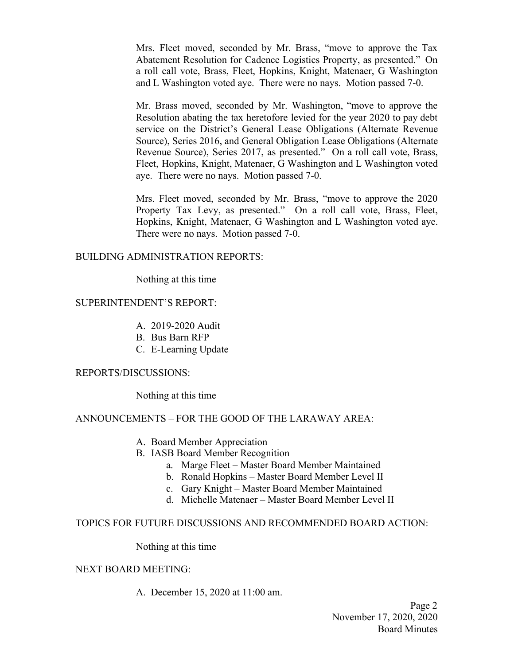Mrs. Fleet moved, seconded by Mr. Brass, "move to approve the Tax Abatement Resolution for Cadence Logistics Property, as presented." On a roll call vote, Brass, Fleet, Hopkins, Knight, Matenaer, G Washington and L Washington voted aye. There were no nays. Motion passed 7-0.

Mr. Brass moved, seconded by Mr. Washington, "move to approve the Resolution abating the tax heretofore levied for the year 2020 to pay debt service on the District's General Lease Obligations (Alternate Revenue Source), Series 2016, and General Obligation Lease Obligations (Alternate Revenue Source), Series 2017, as presented." On a roll call vote, Brass, Fleet, Hopkins, Knight, Matenaer, G Washington and L Washington voted aye. There were no nays. Motion passed 7-0.

Mrs. Fleet moved, seconded by Mr. Brass, "move to approve the 2020 Property Tax Levy, as presented." On a roll call vote, Brass, Fleet, Hopkins, Knight, Matenaer, G Washington and L Washington voted aye. There were no nays. Motion passed 7-0.

## BUILDING ADMINISTRATION REPORTS:

Nothing at this time

## SUPERINTENDENT'S REPORT:

- A. 2019-2020 Audit
- B. Bus Barn RFP
- C. E-Learning Update

## REPORTS/DISCUSSIONS:

Nothing at this time

# ANNOUNCEMENTS – FOR THE GOOD OF THE LARAWAY AREA:

- A. Board Member Appreciation
- B. IASB Board Member Recognition
	- a. Marge Fleet Master Board Member Maintained
	- b. Ronald Hopkins Master Board Member Level II
	- c. Gary Knight Master Board Member Maintained
	- d. Michelle Matenaer Master Board Member Level II

## TOPICS FOR FUTURE DISCUSSIONS AND RECOMMENDED BOARD ACTION:

Nothing at this time

## NEXT BOARD MEETING:

A. December 15, 2020 at 11:00 am.